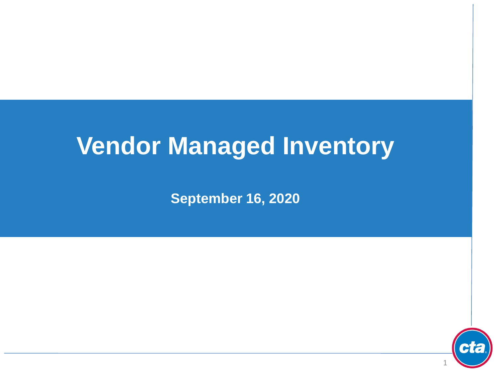# **Vendor Managed Inventory**

**September 16, 2020**

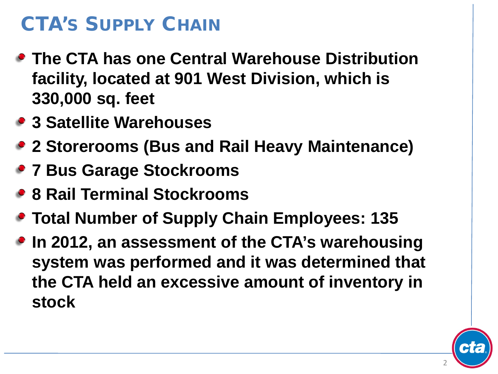## CTA'S SUPPLY CHAIN

- **The CTA has one Central Warehouse Distribution facility, located at 901 West Division, which is 330,000 sq. feet**
- **3 Satellite Warehouses**
- **2 Storerooms (Bus and Rail Heavy Maintenance)**
- **7 Bus Garage Stockrooms**
- **8 Rail Terminal Stockrooms**
- **Total Number of Supply Chain Employees: 135**
- **In 2012, an assessment of the CTA's warehousing system was performed and it was determined that the CTA held an excessive amount of inventory in stock**

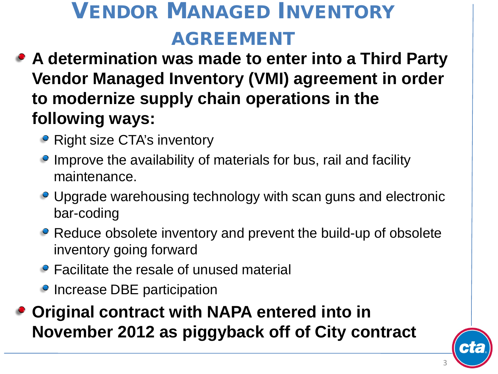# VENDOR MANAGED INVENTORY AGREEMENT

- **A determination was made to enter into a Third Party Vendor Managed Inventory (VMI) agreement in order to modernize supply chain operations in the following ways:**
	- Right size CTA's inventory
	- Improve the availability of materials for bus, rail and facility maintenance.
	- Upgrade warehousing technology with scan guns and electronic bar-coding
	- Reduce obsolete inventory and prevent the build-up of obsolete inventory going forward
	- Facilitate the resale of unused material
	- Increase DBE participation
- **Original contract with NAPA entered into in November 2012 as piggyback off of City contract**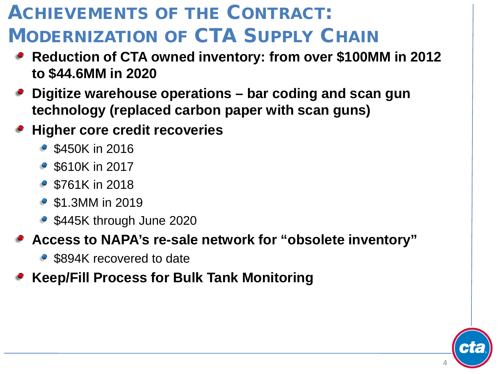## ACHIEVEMENTS OF THE CONTRACT: MODERNIZATION OF CTA SUPPLY CHAIN

- **Reduction of CTA owned inventory: from over \$100MM in 2012 to \$44.6MM in 2020**
- **Digitize warehouse operations – bar coding and scan gun technology (replaced carbon paper with scan guns)**
- **Higher core credit recoveries** 
	- \$450K in 2016
	- \$610K in 2017
	- \$761K in 2018
	- \$1.3MM in 2019
	- \$445K through June 2020

### **Access to NAPA's re-sale network for "obsolete inventory"**

• \$894K recovered to date

### **Keep/Fill Process for Bulk Tank Monitoring**

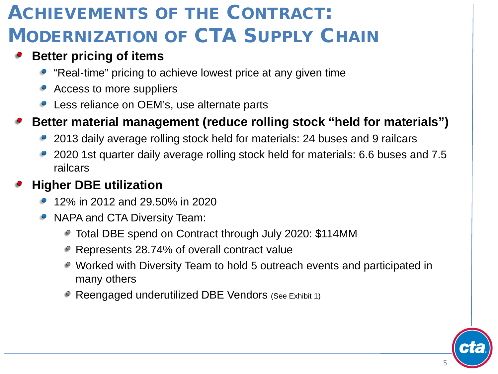## ACHIEVEMENTS OF THE CONTRACT: **MODERNIZATION OF CTA SUPPLY CHAIN**

### **Better pricing of items**

- "Real-time" pricing to achieve lowest price at any given time
- Access to more suppliers
- Less reliance on OEM's, use alternate parts

### **Better material management (reduce rolling stock "held for materials")**

- 2013 daily average rolling stock held for materials: 24 buses and 9 railcars
- 2020 1st quarter daily average rolling stock held for materials: 6.6 buses and 7.5 railcars

### **Higher DBE utilization**

- 12% in 2012 and 29.50% in 2020
- NAPA and CTA Diversity Team:
	- Total DBE spend on Contract through July 2020: \$114MM
	- Represents 28.74% of overall contract value
	- Worked with Diversity Team to hold 5 outreach events and participated in many others
	- Reengaged underutilized DBE Vendors (See Exhibit 1)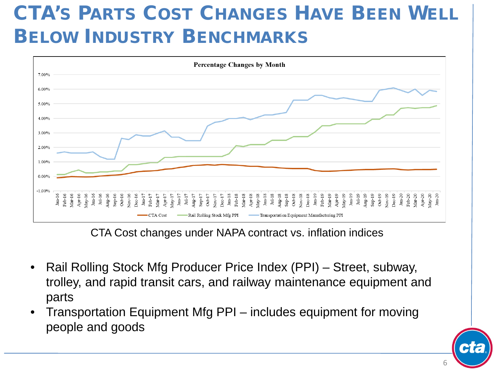## CTA'S PARTS COST CHANGES HAVE BEEN WELL BELOW INDUSTRY BENCHMARKS



CTA Cost changes under NAPA contract vs. inflation indices

- Rail Rolling Stock Mfg Producer Price Index (PPI) Street, subway, trolley, and rapid transit cars, and railway maintenance equipment and parts
- Transportation Equipment Mfg PPI includes equipment for moving people and goods

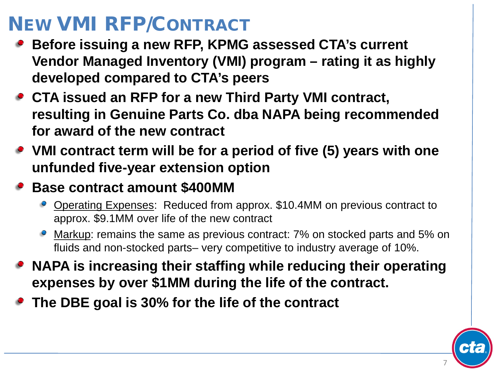## NEW VMI RFP/CONTRACT

- **Before issuing a new RFP, KPMG assessed CTA's current Vendor Managed Inventory (VMI) program – rating it as highly developed compared to CTA's peers**
- **CTA issued an RFP for a new Third Party VMI contract, resulting in Genuine Parts Co. dba NAPA being recommended for award of the new contract**
- **VMI contract term will be for a period of five (5) years with one unfunded five-year extension option**

### **Base contract amount \$400MM**

- Operating Expenses: Reduced from approx. \$10.4MM on previous contract to approx. \$9.1MM over life of the new contract
- Markup: remains the same as previous contract: 7% on stocked parts and 5% on fluids and non-stocked parts– very competitive to industry average of 10%.
- **NAPA is increasing their staffing while reducing their operating expenses by over \$1MM during the life of the contract.**
- **The DBE goal is 30% for the life of the contract**